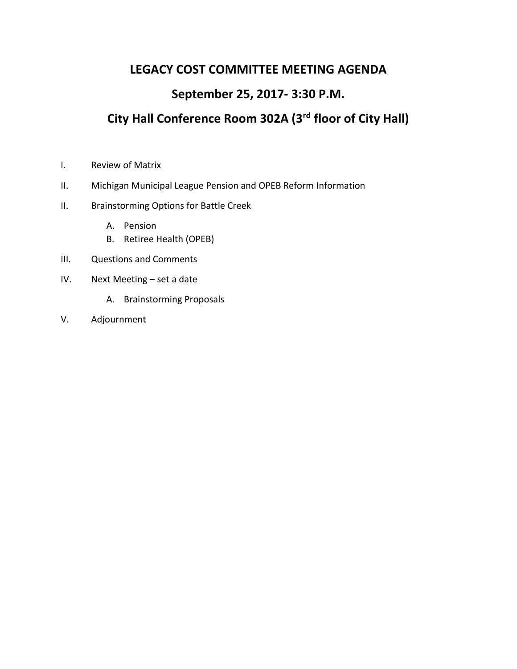## **LEGACY COST COMMITTEE MEETING AGENDA**

## **September 25, 2017- 3:30 P.M.**

# **City Hall Conference Room 302A (3rd floor of City Hall)**

- I. Review of Matrix
- II. Michigan Municipal League Pension and OPEB Reform Information
- II. Brainstorming Options for Battle Creek
	- A. Pension
	- B. Retiree Health (OPEB)
- III. Questions and Comments
- IV. Next Meeting set a date
	- A. Brainstorming Proposals
- V. Adjournment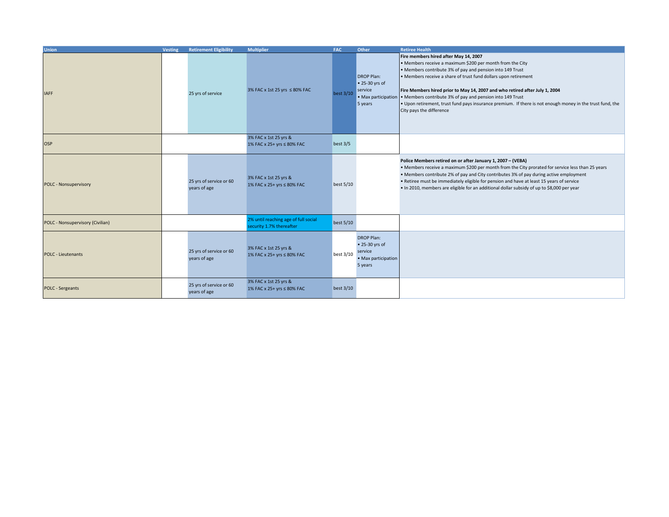| <b>Union</b>                     | <b>Vesting</b> | <b>Retirement Eligibility</b>           | <b>Multiplier</b>                                                | <b>FAC</b>  | Other                                                                            | <b>Retiree Health</b>                                                                                                                                                                                                                                                                                                                                                                                                                                                                                                                       |
|----------------------------------|----------------|-----------------------------------------|------------------------------------------------------------------|-------------|----------------------------------------------------------------------------------|---------------------------------------------------------------------------------------------------------------------------------------------------------------------------------------------------------------------------------------------------------------------------------------------------------------------------------------------------------------------------------------------------------------------------------------------------------------------------------------------------------------------------------------------|
| <b>IAFF</b>                      |                | 25 yrs of service                       | 3% FAC x 1st 25 yrs ≤ 80% FAC                                    | best 3/10   | <b>DROP Plan:</b><br>• 25-30 yrs of<br>service<br>5 years                        | Fire members hired after May 14, 2007<br>• Members receive a maximum \$200 per month from the City<br>• Members contribute 3% of pay and pension into 149 Trust<br>• Members receive a share of trust fund dollars upon retirement<br>Fire Members hired prior to May 14, 2007 and who retired after July 1, 2004<br>. Max participation . Members contribute 3% of pay and pension into 149 Trust<br>• Upon retirement, trust fund pays insurance premium. If there is not enough money in the trust fund, the<br>City pays the difference |
| <b>OSP</b>                       |                |                                         | 3% FAC x 1st 25 yrs &<br>1% FAC x 25+ yrs ≤ 80% FAC              | best $3/5$  |                                                                                  |                                                                                                                                                                                                                                                                                                                                                                                                                                                                                                                                             |
| <b>POLC - Nonsupervisory</b>     |                | 25 yrs of service or 60<br>years of age | 3% FAC x 1st 25 yrs &<br>1% FAC x 25+ yrs ≤ 80% FAC              | best 5/10   |                                                                                  | Police Members retired on or after January 1, 2007 - (VEBA)<br>• Members receive a maximum \$200 per month from the City prorated for service less than 25 years<br>• Members contribute 2% of pay and City contributes 3% of pay during active employment<br>. Retiree must be immediately eligible for pension and have at least 15 years of service<br>. In 2010, members are eligible for an additional dollar subsidy of up to \$8,000 per year                                                                                        |
| POLC - Nonsupervisory (Civilian) |                |                                         | 2% until reaching age of full social<br>security 1.7% thereafter | best $5/10$ |                                                                                  |                                                                                                                                                                                                                                                                                                                                                                                                                                                                                                                                             |
| <b>POLC - Lieutenants</b>        |                | 25 yrs of service or 60<br>years of age | 3% FAC x 1st 25 yrs &<br>1% FAC x 25+ yrs ≤ 80% FAC              | best 3/10   | <b>DROP Plan:</b><br>• 25-30 yrs of<br>service<br>• Max participation<br>5 years |                                                                                                                                                                                                                                                                                                                                                                                                                                                                                                                                             |
| <b>POLC</b> - Sergeants          |                | 25 yrs of service or 60<br>years of age | 3% FAC x 1st 25 yrs &<br>1% FAC x 25+ yrs ≤ 80% FAC              | best 3/10   |                                                                                  |                                                                                                                                                                                                                                                                                                                                                                                                                                                                                                                                             |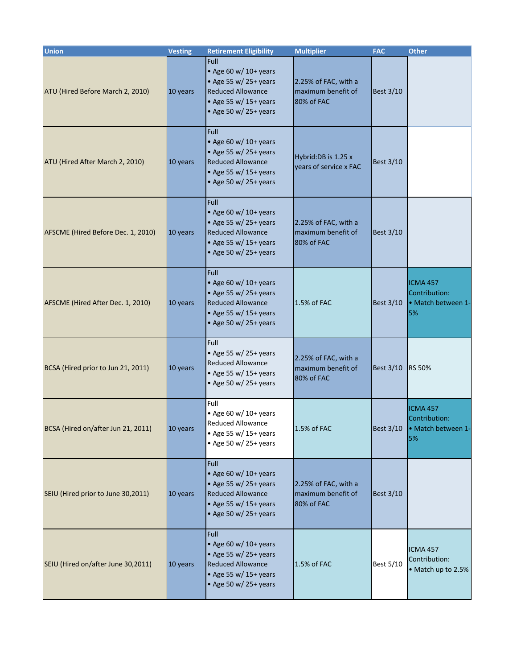| <b>Union</b>                       | <b>Vesting</b> | <b>Retirement Eligibility</b>                                                                                                                   | <b>Multiplier</b>                                        | <b>FAC</b>       | <b>Other</b>                                                 |
|------------------------------------|----------------|-------------------------------------------------------------------------------------------------------------------------------------------------|----------------------------------------------------------|------------------|--------------------------------------------------------------|
| ATU (Hired Before March 2, 2010)   | 10 years       | Full<br>$\bullet$ Age 60 w/ 10+ years<br>• Age 55 w/ 25+ years<br><b>Reduced Allowance</b><br>• Age 55 w/ 15+ years<br>• Age 50 w/ 25+ years    | 2.25% of FAC, with a<br>maximum benefit of<br>80% of FAC | <b>Best 3/10</b> |                                                              |
| ATU (Hired After March 2, 2010)    | 10 years       | <b>Full</b><br>• Age 60 w/ $10+$ years<br>• Age 55 w/ 25+ years<br><b>Reduced Allowance</b><br>• Age 55 w/ 15+ years<br>• Age 50 w/ 25+ years   | Hybrid: DB is 1.25 x<br>vears of service x FAC           | <b>Best 3/10</b> |                                                              |
| AFSCME (Hired Before Dec. 1, 2010) | 10 years       | Full<br>• Age 60 w/ $10+$ years<br>• Age 55 w/ 25+ years<br><b>Reduced Allowance</b><br>• Age 55 w/ 15+ years<br>• Age 50 w/ 25+ years          | 2.25% of FAC, with a<br>maximum benefit of<br>80% of FAC | <b>Best 3/10</b> |                                                              |
| AFSCME (Hired After Dec. 1, 2010)  | 10 years       | Full<br>• Age 60 w/ 10+ years<br>• Age 55 w/ 25+ years<br><b>Reduced Allowance</b><br>• Age 55 w/ 15+ years<br>• Age 50 w/ 25+ years            | 1.5% of FAC                                              | <b>Best 3/10</b> | <b>ICMA 457</b><br>Contribution:<br>• Match between 1-<br>5% |
| BCSA (Hired prior to Jun 21, 2011) | 10 years       | Full<br>• Age 55 w/ 25+ years<br><b>Reduced Allowance</b><br>• Age 55 w/ 15+ years<br>• Age 50 w/ 25+ years                                     | 2.25% of FAC, with a<br>maximum benefit of<br>80% of FAC | <b>Best 3/10</b> | <b>RS 50%</b>                                                |
| BCSA (Hired on/after Jun 21, 2011) | 10 years       | Full<br>• Age 60 w/ 10+ years<br>Reduced Allowance<br>$\bullet$ Age 55 w/ 15+ years<br>$\bullet$ Age 50 w/ 25+ years                            | 1.5% of FAC                                              | <b>Best 3/10</b> | <b>ICMA 457</b><br>Contribution:<br>· Match between 1-<br>5% |
| SEIU (Hired prior to June 30,2011) | 10 years       | <b>Full</b><br>• Age 60 w/ 10+ years<br>• Age 55 w/ $25+$ years<br><b>Reduced Allowance</b><br>• Age 55 w/ $15+$ years<br>• Age 50 w/ 25+ years | 2.25% of FAC, with a<br>maximum benefit of<br>80% of FAC | <b>Best 3/10</b> |                                                              |
| SEIU (Hired on/after June 30,2011) | 10 years       | Full<br>• Age 60 w/ $10+$ years<br>• Age 55 w/ 25+ years<br><b>Reduced Allowance</b><br>• Age 55 w/ 15+ years<br>• Age 50 w/ 25+ years          | 1.5% of FAC                                              | <b>Best 5/10</b> | <b>ICMA 457</b><br>Contribution:<br>• Match up to 2.5%       |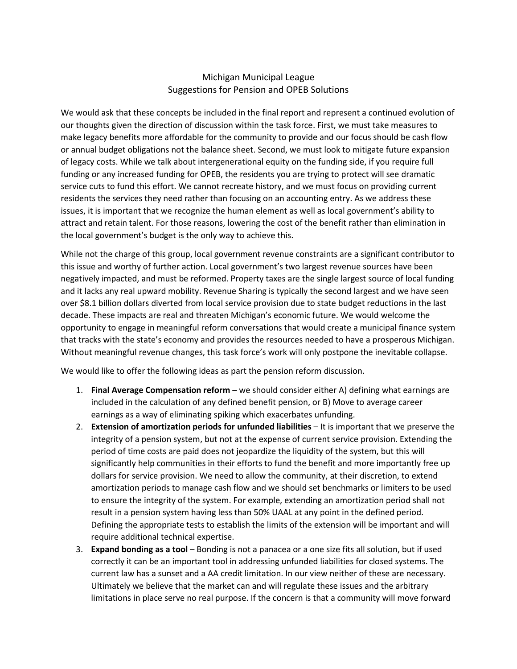### Michigan Municipal League Suggestions for Pension and OPEB Solutions

We would ask that these concepts be included in the final report and represent a continued evolution of our thoughts given the direction of discussion within the task force. First, we must take measures to make legacy benefits more affordable for the community to provide and our focus should be cash flow or annual budget obligations not the balance sheet. Second, we must look to mitigate future expansion of legacy costs. While we talk about intergenerational equity on the funding side, if you require full funding or any increased funding for OPEB, the residents you are trying to protect will see dramatic service cuts to fund this effort. We cannot recreate history, and we must focus on providing current residents the services they need rather than focusing on an accounting entry. As we address these issues, it is important that we recognize the human element as well as local government's ability to attract and retain talent. For those reasons, lowering the cost of the benefit rather than elimination in the local government's budget is the only way to achieve this.

While not the charge of this group, local government revenue constraints are a significant contributor to this issue and worthy of further action. Local government's two largest revenue sources have been negatively impacted, and must be reformed. Property taxes are the single largest source of local funding and it lacks any real upward mobility. Revenue Sharing is typically the second largest and we have seen over \$8.1 billion dollars diverted from local service provision due to state budget reductions in the last decade. These impacts are real and threaten Michigan's economic future. We would welcome the opportunity to engage in meaningful reform conversations that would create a municipal finance system that tracks with the state's economy and provides the resources needed to have a prosperous Michigan. Without meaningful revenue changes, this task force's work will only postpone the inevitable collapse.

We would like to offer the following ideas as part the pension reform discussion.

- 1. **Final Average Compensation reform** we should consider either A) defining what earnings are included in the calculation of any defined benefit pension, or B) Move to average career earnings as a way of eliminating spiking which exacerbates unfunding.
- 2. **Extension of amortization periods for unfunded liabilities** It is important that we preserve the integrity of a pension system, but not at the expense of current service provision. Extending the period of time costs are paid does not jeopardize the liquidity of the system, but this will significantly help communities in their efforts to fund the benefit and more importantly free up dollars for service provision. We need to allow the community, at their discretion, to extend amortization periods to manage cash flow and we should set benchmarks or limiters to be used to ensure the integrity of the system. For example, extending an amortization period shall not result in a pension system having less than 50% UAAL at any point in the defined period. Defining the appropriate tests to establish the limits of the extension will be important and will require additional technical expertise.
- 3. **Expand bonding as a tool** Bonding is not a panacea or a one size fits all solution, but if used correctly it can be an important tool in addressing unfunded liabilities for closed systems. The current law has a sunset and a AA credit limitation. In our view neither of these are necessary. Ultimately we believe that the market can and will regulate these issues and the arbitrary limitations in place serve no real purpose. If the concern is that a community will move forward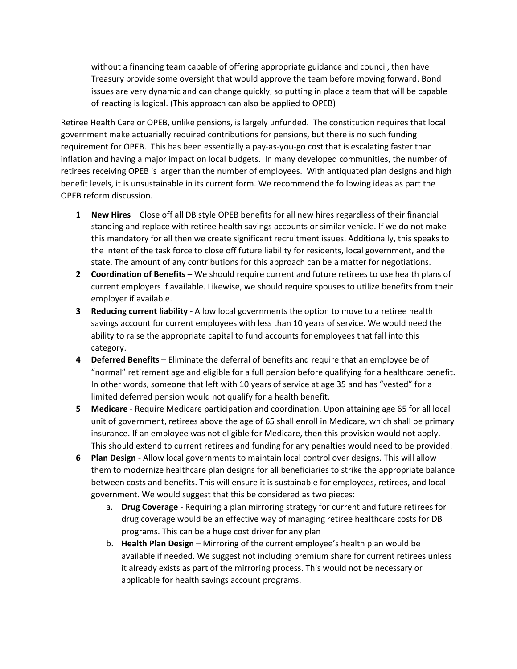without a financing team capable of offering appropriate guidance and council, then have Treasury provide some oversight that would approve the team before moving forward. Bond issues are very dynamic and can change quickly, so putting in place a team that will be capable of reacting is logical. (This approach can also be applied to OPEB)

Retiree Health Care or OPEB, unlike pensions, is largely unfunded. The constitution requires that local government make actuarially required contributions for pensions, but there is no such funding requirement for OPEB. This has been essentially a pay-as-you-go cost that is escalating faster than inflation and having a major impact on local budgets. In many developed communities, the number of retirees receiving OPEB is larger than the number of employees. With antiquated plan designs and high benefit levels, it is unsustainable in its current form. We recommend the following ideas as part the OPEB reform discussion.

- **1 New Hires** Close off all DB style OPEB benefits for all new hires regardless of their financial standing and replace with retiree health savings accounts or similar vehicle. If we do not make this mandatory for all then we create significant recruitment issues. Additionally, this speaks to the intent of the task force to close off future liability for residents, local government, and the state. The amount of any contributions for this approach can be a matter for negotiations.
- **2 Coordination of Benefits**  We should require current and future retirees to use health plans of current employers if available. Likewise, we should require spouses to utilize benefits from their employer if available.
- **3 Reducing current liability** Allow local governments the option to move to a retiree health savings account for current employees with less than 10 years of service. We would need the ability to raise the appropriate capital to fund accounts for employees that fall into this category.
- **4 Deferred Benefits**  Eliminate the deferral of benefits and require that an employee be of "normal" retirement age and eligible for a full pension before qualifying for a healthcare benefit. In other words, someone that left with 10 years of service at age 35 and has "vested" for a limited deferred pension would not qualify for a health benefit.
- **5 Medicare** Require Medicare participation and coordination. Upon attaining age 65 for all local unit of government, retirees above the age of 65 shall enroll in Medicare, which shall be primary insurance. If an employee was not eligible for Medicare, then this provision would not apply. This should extend to current retirees and funding for any penalties would need to be provided.
- **6 Plan Design** Allow local governments to maintain local control over designs. This will allow them to modernize healthcare plan designs for all beneficiaries to strike the appropriate balance between costs and benefits. This will ensure it is sustainable for employees, retirees, and local government. We would suggest that this be considered as two pieces:
	- a. **Drug Coverage**  Requiring a plan mirroring strategy for current and future retirees for drug coverage would be an effective way of managing retiree healthcare costs for DB programs. This can be a huge cost driver for any plan
	- b. **Health Plan Design**  Mirroring of the current employee's health plan would be available if needed. We suggest not including premium share for current retirees unless it already exists as part of the mirroring process. This would not be necessary or applicable for health savings account programs.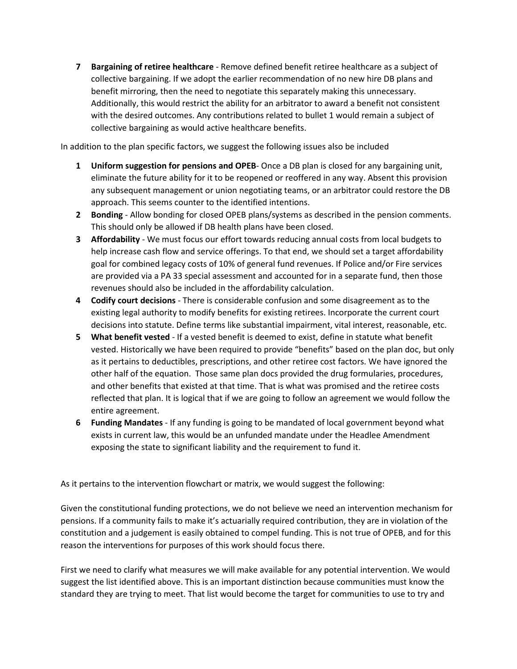**7 Bargaining of retiree healthcare** - Remove defined benefit retiree healthcare as a subject of collective bargaining. If we adopt the earlier recommendation of no new hire DB plans and benefit mirroring, then the need to negotiate this separately making this unnecessary. Additionally, this would restrict the ability for an arbitrator to award a benefit not consistent with the desired outcomes. Any contributions related to bullet 1 would remain a subject of collective bargaining as would active healthcare benefits.

In addition to the plan specific factors, we suggest the following issues also be included

- **1 Uniform suggestion for pensions and OPEB** Once a DB plan is closed for any bargaining unit, eliminate the future ability for it to be reopened or reoffered in any way. Absent this provision any subsequent management or union negotiating teams, or an arbitrator could restore the DB approach. This seems counter to the identified intentions.
- **2 Bonding** Allow bonding for closed OPEB plans/systems as described in the pension comments. This should only be allowed if DB health plans have been closed.
- **3 Affordability** We must focus our effort towards reducing annual costs from local budgets to help increase cash flow and service offerings. To that end, we should set a target affordability goal for combined legacy costs of 10% of general fund revenues. If Police and/or Fire services are provided via a PA 33 special assessment and accounted for in a separate fund, then those revenues should also be included in the affordability calculation.
- **4 Codify court decisions** There is considerable confusion and some disagreement as to the existing legal authority to modify benefits for existing retirees. Incorporate the current court decisions into statute. Define terms like substantial impairment, vital interest, reasonable, etc.
- **5 What benefit vested** If a vested benefit is deemed to exist, define in statute what benefit vested. Historically we have been required to provide "benefits" based on the plan doc, but only as it pertains to deductibles, prescriptions, and other retiree cost factors. We have ignored the other half of the equation. Those same plan docs provided the drug formularies, procedures, and other benefits that existed at that time. That is what was promised and the retiree costs reflected that plan. It is logical that if we are going to follow an agreement we would follow the entire agreement.
- **6 Funding Mandates** If any funding is going to be mandated of local government beyond what exists in current law, this would be an unfunded mandate under the Headlee Amendment exposing the state to significant liability and the requirement to fund it.

As it pertains to the intervention flowchart or matrix, we would suggest the following:

Given the constitutional funding protections, we do not believe we need an intervention mechanism for pensions. If a community fails to make it's actuarially required contribution, they are in violation of the constitution and a judgement is easily obtained to compel funding. This is not true of OPEB, and for this reason the interventions for purposes of this work should focus there.

First we need to clarify what measures we will make available for any potential intervention. We would suggest the list identified above. This is an important distinction because communities must know the standard they are trying to meet. That list would become the target for communities to use to try and